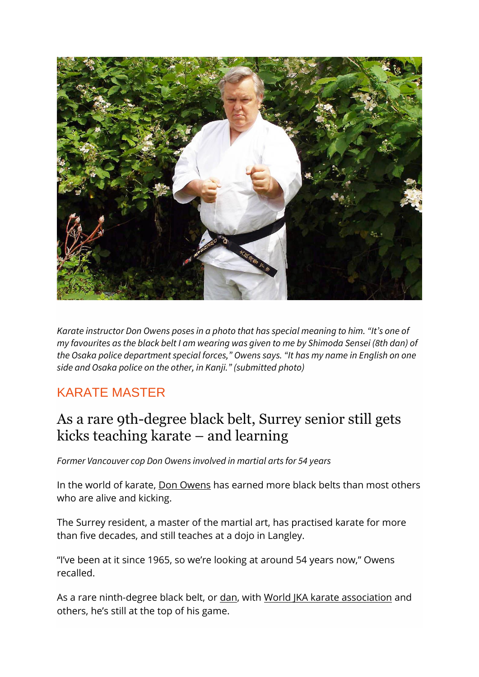

*Karate instructor Don Owens poses in a photo that has special meaning to him. "It's one of my favourites as the black belt I am wearing was given to me by Shimoda Sensei (8th dan) of*  the Osaka police department special forces," Owens says. "It has my name in English on one *side and Osaka police on the other, in Kanji." (submitted photo)*

## KARATE MASTER

## As a rare 9th-degree black belt, Surrey senior still gets kicks teaching karate – and learning

*Former Vancouver cop Don Owens involved in martial arts for 54 years*

In the world of karate, [Don Owens](https://wjkacanada.wixsite.com/wjka/instructors) has earned more black belts than most others who are alive and kicking.

The Surrey resident, a master of the martial art, has practised karate for more than five decades, and still teaches at a dojo in Langley.

"I've been at it since 1965, so we're looking at around 54 years now," Owens recalled.

As a rare ninth-degree black belt, or [dan,](https://en.wikipedia.org/wiki/Dan_(rank)) with [World JKA karate association](http://www.wjkahq.com/) and others, he's still at the top of his game.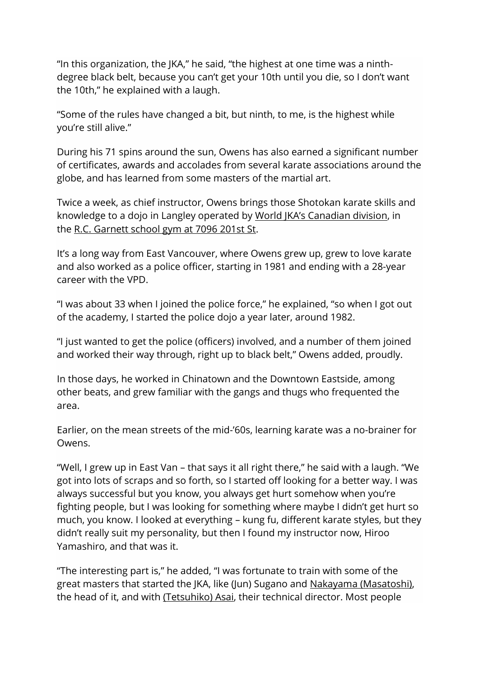"In this organization, the JKA," he said, "the highest at one time was a ninthdegree black belt, because you can't get your 10th until you die, so I don't want the 10th," he explained with a laugh.

"Some of the rules have changed a bit, but ninth, to me, is the highest while you're still alive."

During his 71 spins around the sun, Owens has also earned a significant number of certificates, awards and accolades from several karate associations around the globe, and has learned from some masters of the martial art.

Twice a week, as chief instructor, Owens brings those Shotokan karate skills and knowledge to a dojo in Langley operated by [World JKA's Canadian division](https://wjkacanada.wixsite.com/wjka), in the [R.C. Garnett school gym at 7096 201st St.](https://www.google.com/maps/place/R.C.+Garnett+Demonstration+Elementary/@49.131955,-122.6637454,15z/data=!4m5!3m4!1s0x0:0xaa94b21f4c9b6173!8m2!3d49.131955!4d-122.6637454)

It's a long way from East Vancouver, where Owens grew up, grew to love karate and also worked as a police officer, starting in 1981 and ending with a 28-year career with the VPD.

"I was about 33 when I joined the police force," he explained, "so when I got out of the academy, I started the police dojo a year later, around 1982.

"I just wanted to get the police (officers) involved, and a number of them joined and worked their way through, right up to black belt," Owens added, proudly.

In those days, he worked in Chinatown and the Downtown Eastside, among other beats, and grew familiar with the gangs and thugs who frequented the area.

Earlier, on the mean streets of the mid-'60s, learning karate was a no-brainer for Owens.

"Well, I grew up in East Van – that says it all right there," he said with a laugh. "We got into lots of scraps and so forth, so I started off looking for a better way. I was always successful but you know, you always get hurt somehow when you're fighting people, but I was looking for something where maybe I didn't get hurt so much, you know. I looked at everything – kung fu, different karate styles, but they didn't really suit my personality, but then I found my instructor now, Hiroo Yamashiro, and that was it.

"The interesting part is," he added, "I was fortunate to train with some of the great masters that started the JKA, like (Jun) Sugano and [Nakayama \(Masatoshi\),](https://www.jka.or.jp/en/about-jka/profiles/master-nakayama-masatoshi-1913-1987/) the head of it, and with [\(Tetsuhiko\)](https://en.wikipedia.org/wiki/Tetsuhiko_Asai) [Asai,](https://en.wikipedia.org/wiki/Tetsuhiko_Asai) their technical director. Most people